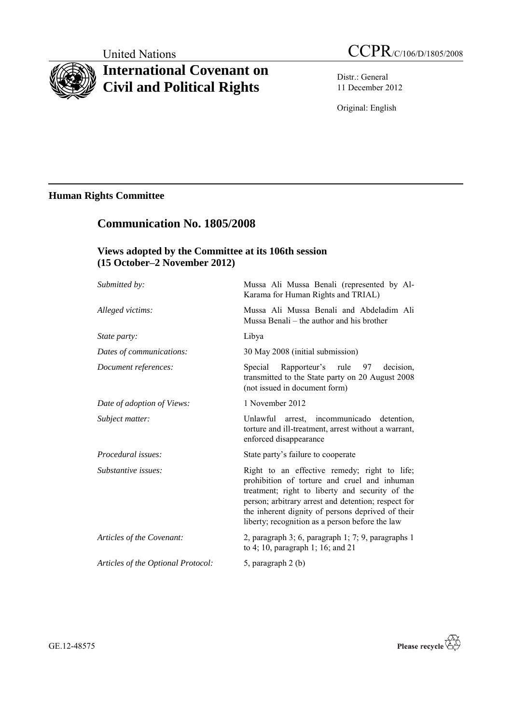# **International Covenant on Civil and Political Rights**

Distr.: General 11 December 2012

Original: English

# **Human Rights Committee**

# **Communication No. 1805/2008 Views adopted by the Committee at its 106th session (15 October–2 November 2012)** *Submitted by:* Mussa Ali Mussa Benali (represented by Al-Karama for Human Rights and TRIAL) *Alleged victims:* Mussa Ali Mussa Benali and Abdeladim Ali Mussa Benali – the author and his brother *State party:* Libya *Dates of communications:* 30 May 2008 (initial submission) *Document references:* Special Rapporteur's rule 97 decision, transmitted to the State party on 20 August 2008 (not issued in document form) *Date of adoption of Views:* 1 November 2012 *Subject matter:* Unlawful arrest, incommunicado detention, torture and ill-treatment, arrest without a warrant, enforced disappearance *Procedural issues:* State party's failure to cooperate *Substantive issues:* **Right to an effective remedy; right to life;** prohibition of torture and cruel and inhuman treatment; right to liberty and security of the person; arbitrary arrest and detention; respect for the inherent dignity of persons deprived of their liberty; recognition as a person before the law *Articles of the Covenant:* 2, paragraph 3; 6, paragraph 1; 7; 9, paragraphs 1 to 4; 10, paragraph 1; 16; and 21 *Articles of the Optional Protocol:* 5, paragraph 2 (b)

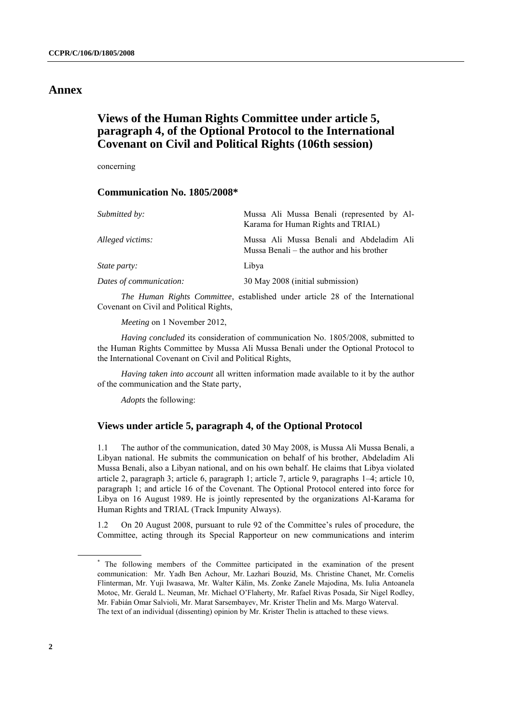## **Annex**

# **Views of the Human Rights Committee under article 5, paragraph 4, of the Optional Protocol to the International Covenant on Civil and Political Rights (106th session)**

concerning

#### **Communication No. 1805/2008\***

| Mussa Ali Mussa Benali (represented by Al-<br>Karama for Human Rights and TRIAL)      |
|---------------------------------------------------------------------------------------|
| Mussa Ali Mussa Benali and Abdeladim Ali<br>Mussa Benali – the author and his brother |
| Libya                                                                                 |
| 30 May 2008 (initial submission)                                                      |
|                                                                                       |

*The Human Rights Committee*, established under article 28 of the International Covenant on Civil and Political Rights,

*Meeting* on 1 November 2012,

*Having concluded* its consideration of communication No. 1805/2008, submitted to the Human Rights Committee by Mussa Ali Mussa Benali under the Optional Protocol to the International Covenant on Civil and Political Rights,

*Having taken into account* all written information made available to it by the author of the communication and the State party,

*Adopts* the following:

#### **Views under article 5, paragraph 4, of the Optional Protocol**

1.1 The author of the communication, dated 30 May 2008, is Mussa Ali Mussa Benali, a Libyan national. He submits the communication on behalf of his brother, Abdeladim Ali Mussa Benali, also a Libyan national, and on his own behalf. He claims that Libya violated article 2, paragraph 3; article 6, paragraph 1; article 7, article 9, paragraphs 1–4; article 10, paragraph 1; and article 16 of the Covenant. The Optional Protocol entered into force for Libya on 16 August 1989. He is jointly represented by the organizations Al-Karama for Human Rights and TRIAL (Track Impunity Always).

1.2 On 20 August 2008, pursuant to rule 92 of the Committee's rules of procedure, the Committee, acting through its Special Rapporteur on new communications and interim

<sup>\*</sup> The following members of the Committee participated in the examination of the present communication: Mr. Yadh Ben Achour, Mr. Lazhari Bouzid, Ms. Christine Chanet, Mr. Cornelis Flinterman, Mr. Yuji Iwasawa, Mr. Walter Kälin, Ms. Zonke Zanele Majodina, Ms. Iulia Antoanela Motoc, Mr. Gerald L. Neuman, Mr. Michael O'Flaherty, Mr. Rafael Rivas Posada, Sir Nigel Rodley, Mr. Fabián Omar Salvioli, Mr. Marat Sarsembayev, Mr. Krister Thelin and Ms. Margo Waterval. The text of an individual (dissenting) opinion by Mr. Krister Thelin is attached to these views.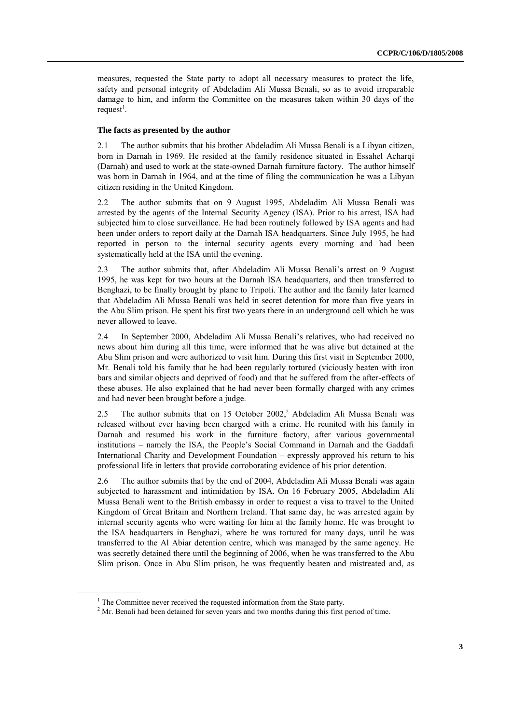measures, requested the State party to adopt all necessary measures to protect the life, safety and personal integrity of Abdeladim Ali Mussa Benali, so as to avoid irreparable damage to him, and inform the Committee on the measures taken within 30 days of the request<sup>1</sup>.

#### **The facts as presented by the author**

2.1 The author submits that his brother Abdeladim Ali Mussa Benali is a Libyan citizen, born in Darnah in 1969. He resided at the family residence situated in Essahel Acharqi (Darnah) and used to work at the state-owned Darnah furniture factory. The author himself was born in Darnah in 1964, and at the time of filing the communication he was a Libyan citizen residing in the United Kingdom.

2.2 The author submits that on 9 August 1995, Abdeladim Ali Mussa Benali was arrested by the agents of the Internal Security Agency (ISA). Prior to his arrest, ISA had subjected him to close surveillance. He had been routinely followed by ISA agents and had been under orders to report daily at the Darnah ISA headquarters. Since July 1995, he had reported in person to the internal security agents every morning and had been systematically held at the ISA until the evening.

2.3 The author submits that, after Abdeladim Ali Mussa Benali's arrest on 9 August 1995, he was kept for two hours at the Darnah ISA headquarters, and then transferred to Benghazi, to be finally brought by plane to Tripoli. The author and the family later learned that Abdeladim Ali Mussa Benali was held in secret detention for more than five years in the Abu Slim prison. He spent his first two years there in an underground cell which he was never allowed to leave.

2.4 In September 2000, Abdeladim Ali Mussa Benali's relatives, who had received no news about him during all this time, were informed that he was alive but detained at the Abu Slim prison and were authorized to visit him. During this first visit in September 2000, Mr. Benali told his family that he had been regularly tortured (viciously beaten with iron bars and similar objects and deprived of food) and that he suffered from the after-effects of these abuses. He also explained that he had never been formally charged with any crimes and had never been brought before a judge.

2.5 The author submits that on 15 October 2002,<sup>2</sup> Abdeladim Ali Mussa Benali was released without ever having been charged with a crime. He reunited with his family in Darnah and resumed his work in the furniture factory, after various governmental institutions – namely the ISA, the People's Social Command in Darnah and the Gaddafi International Charity and Development Foundation – expressly approved his return to his professional life in letters that provide corroborating evidence of his prior detention.

2.6 The author submits that by the end of 2004, Abdeladim Ali Mussa Benali was again subjected to harassment and intimidation by ISA. On 16 February 2005, Abdeladim Ali Mussa Benali went to the British embassy in order to request a visa to travel to the United Kingdom of Great Britain and Northern Ireland. That same day, he was arrested again by internal security agents who were waiting for him at the family home. He was brought to the ISA headquarters in Benghazi, where he was tortured for many days, until he was transferred to the Al Abiar detention centre, which was managed by the same agency. He was secretly detained there until the beginning of 2006, when he was transferred to the Abu Slim prison. Once in Abu Slim prison, he was frequently beaten and mistreated and, as

 $1$  The Committee never received the requested information from the State party.

 $2^{\circ}$  Mr. Benali had been detained for seven years and two months during this first period of time.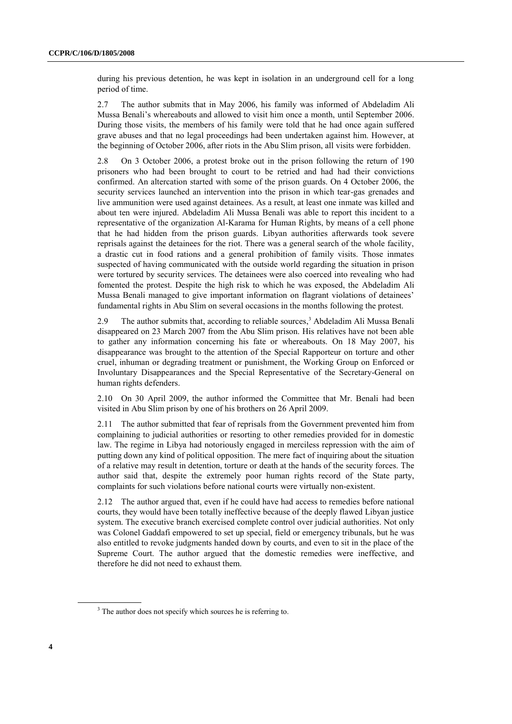during his previous detention, he was kept in isolation in an underground cell for a long period of time.

2.7 The author submits that in May 2006, his family was informed of Abdeladim Ali Mussa Benali's whereabouts and allowed to visit him once a month, until September 2006. During those visits, the members of his family were told that he had once again suffered grave abuses and that no legal proceedings had been undertaken against him. However, at the beginning of October 2006, after riots in the Abu Slim prison, all visits were forbidden.

2.8 On 3 October 2006, a protest broke out in the prison following the return of 190 prisoners who had been brought to court to be retried and had had their convictions confirmed. An altercation started with some of the prison guards. On 4 October 2006, the security services launched an intervention into the prison in which tear-gas grenades and live ammunition were used against detainees. As a result, at least one inmate was killed and about ten were injured. Abdeladim Ali Mussa Benali was able to report this incident to a representative of the organization Al-Karama for Human Rights, by means of a cell phone that he had hidden from the prison guards. Libyan authorities afterwards took severe reprisals against the detainees for the riot. There was a general search of the whole facility, a drastic cut in food rations and a general prohibition of family visits. Those inmates suspected of having communicated with the outside world regarding the situation in prison were tortured by security services. The detainees were also coerced into revealing who had fomented the protest. Despite the high risk to which he was exposed, the Abdeladim Ali Mussa Benali managed to give important information on flagrant violations of detainees' fundamental rights in Abu Slim on several occasions in the months following the protest.

2.9 The author submits that, according to reliable sources, <sup>3</sup> Abdeladim Ali Mussa Benali disappeared on 23 March 2007 from the Abu Slim prison. His relatives have not been able to gather any information concerning his fate or whereabouts. On 18 May 2007, his disappearance was brought to the attention of the Special Rapporteur on torture and other cruel, inhuman or degrading treatment or punishment, the Working Group on Enforced or Involuntary Disappearances and the Special Representative of the Secretary-General on human rights defenders.

2.10 On 30 April 2009, the author informed the Committee that Mr. Benali had been visited in Abu Slim prison by one of his brothers on 26 April 2009.

2.11 The author submitted that fear of reprisals from the Government prevented him from complaining to judicial authorities or resorting to other remedies provided for in domestic law. The regime in Libya had notoriously engaged in merciless repression with the aim of putting down any kind of political opposition. The mere fact of inquiring about the situation of a relative may result in detention, torture or death at the hands of the security forces. The author said that, despite the extremely poor human rights record of the State party, complaints for such violations before national courts were virtually non-existent.

2.12 The author argued that, even if he could have had access to remedies before national courts, they would have been totally ineffective because of the deeply flawed Libyan justice system. The executive branch exercised complete control over judicial authorities. Not only was Colonel Gaddafi empowered to set up special, field or emergency tribunals, but he was also entitled to revoke judgments handed down by courts, and even to sit in the place of the Supreme Court. The author argued that the domestic remedies were ineffective, and therefore he did not need to exhaust them.

<sup>&</sup>lt;sup>3</sup> The author does not specify which sources he is referring to.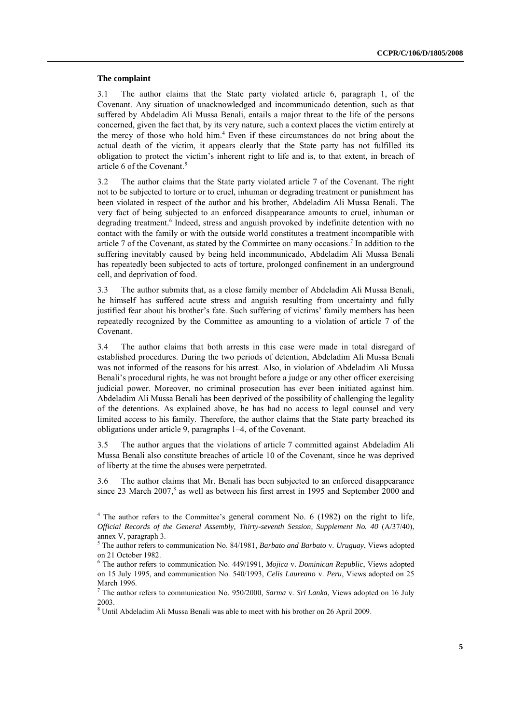#### **The complaint**

3.1 The author claims that the State party violated article 6, paragraph 1, of the Covenant. Any situation of unacknowledged and incommunicado detention, such as that suffered by Abdeladim Ali Mussa Benali, entails a major threat to the life of the persons concerned, given the fact that, by its very nature, such a context places the victim entirely at the mercy of those who hold him. <sup>4</sup> Even if these circumstances do not bring about the actual death of the victim, it appears clearly that the State party has not fulfilled its obligation to protect the victim's inherent right to life and is, to that extent, in breach of article 6 of the Covenant. 5

3.2 The author claims that the State party violated article 7 of the Covenant. The right not to be subjected to torture or to cruel, inhuman or degrading treatment or punishment has been violated in respect of the author and his brother, Abdeladim Ali Mussa Benali. The very fact of being subjected to an enforced disappearance amounts to cruel, inhuman or degrading treatment. 6 Indeed, stress and anguish provoked by indefinite detention with no contact with the family or with the outside world constitutes a treatment incompatible with article 7 of the Covenant, as stated by the Committee on many occasions. 7 In addition to the suffering inevitably caused by being held incommunicado, Abdeladim Ali Mussa Benali has repeatedly been subjected to acts of torture, prolonged confinement in an underground cell, and deprivation of food.

3.3 The author submits that, as a close family member of Abdeladim Ali Mussa Benali, he himself has suffered acute stress and anguish resulting from uncertainty and fully justified fear about his brother's fate. Such suffering of victims' family members has been repeatedly recognized by the Committee as amounting to a violation of article 7 of the Covenant.

3.4 The author claims that both arrests in this case were made in total disregard of established procedures. During the two periods of detention, Abdeladim Ali Mussa Benali was not informed of the reasons for his arrest. Also, in violation of Abdeladim Ali Mussa Benali's procedural rights, he was not brought before a judge or any other officer exercising judicial power. Moreover, no criminal prosecution has ever been initiated against him. Abdeladim Ali Mussa Benali has been deprived of the possibility of challenging the legality of the detentions. As explained above, he has had no access to legal counsel and very limited access to his family. Therefore, the author claims that the State party breached its obligations under article 9, paragraphs 1–4, of the Covenant.

3.5 The author argues that the violations of article 7 committed against Abdeladim Ali Mussa Benali also constitute breaches of article 10 of the Covenant, since he was deprived of liberty at the time the abuses were perpetrated.

3.6 The author claims that Mr. Benali has been subjected to an enforced disappearance since 23 March 2007, 8 as well as between his first arrest in 1995 and September 2000 and

<sup>4</sup> The author refers to the Committee's general comment No. 6 (1982) on the right to life, *Official Records of the General Assembly, Thirty-seventh Session, Supplement No. 40* (A/37/40), annex V, paragraph 3.

<sup>5</sup> The author refers to communication No. 84/1981, *Barbato and Barbato* v. *Uruguay*, Views adopted on 21 October 1982.

<sup>6</sup> The author refers to communication No. 449/1991, *Mojica* v. *Dominican Republic*, Views adopted on 15 July 1995, and communication No. 540/1993, *Celis Laureano* v. *Peru*, Views adopted on 25 March 1996.

<sup>7</sup> The author refers to communication No. 950/2000, *Sarma* v. *Sri Lanka*, Views adopted on 16 July 2003.

<sup>8</sup> Until Abdeladim Ali Mussa Benali was able to meet with his brother on 26 April 2009.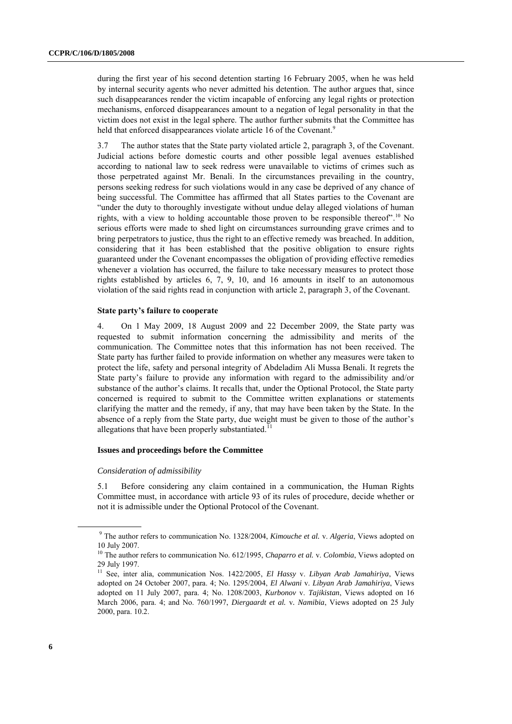during the first year of his second detention starting 16 February 2005, when he was held by internal security agents who never admitted his detention. The author argues that, since such disappearances render the victim incapable of enforcing any legal rights or protection mechanisms, enforced disappearances amount to a negation of legal personality in that the victim does not exist in the legal sphere. The author further submits that the Committee has held that enforced disappearances violate article 16 of the Covenant.<sup>9</sup>

3.7 The author states that the State party violated article 2, paragraph 3, of the Covenant. Judicial actions before domestic courts and other possible legal avenues established according to national law to seek redress were unavailable to victims of crimes such as those perpetrated against Mr. Benali. In the circumstances prevailing in the country, persons seeking redress for such violations would in any case be deprived of any chance of being successful. The Committee has affirmed that all States parties to the Covenant are "under the duty to thoroughly investigate without undue delay alleged violations of human rights, with a view to holding accountable those proven to be responsible thereof".<sup>10</sup> No serious efforts were made to shed light on circumstances surrounding grave crimes and to bring perpetrators to justice, thus the right to an effective remedy was breached. In addition, considering that it has been established that the positive obligation to ensure rights guaranteed under the Covenant encompasses the obligation of providing effective remedies whenever a violation has occurred, the failure to take necessary measures to protect those rights established by articles 6, 7, 9, 10, and 16 amounts in itself to an autonomous violation of the said rights read in conjunction with article 2, paragraph 3, of the Covenant.

#### **State party's failure to cooperate**

4. On 1 May 2009, 18 August 2009 and 22 December 2009, the State party was requested to submit information concerning the admissibility and merits of the communication. The Committee notes that this information has not been received. The State party has further failed to provide information on whether any measures were taken to protect the life, safety and personal integrity of Abdeladim Ali Mussa Benali. It regrets the State party's failure to provide any information with regard to the admissibility and/or substance of the author's claims. It recalls that, under the Optional Protocol, the State party concerned is required to submit to the Committee written explanations or statements clarifying the matter and the remedy, if any, that may have been taken by the State. In the absence of a reply from the State party, due weight must be given to those of the author's allegations that have been properly substantiated.<sup> $11$ </sup>

#### **Issues and proceedings before the Committee**

#### *Consideration of admissibility*

5.1 Before considering any claim contained in a communication, the Human Rights Committee must, in accordance with article 93 of its rules of procedure, decide whether or not it is admissible under the Optional Protocol of the Covenant.

<sup>9</sup> The author refers to communication No. 1328/2004, *Kimouche et al.* v. *Algeria*, Views adopted on 10 July 2007.

<sup>&</sup>lt;sup>10</sup> The author refers to communication No. 612/1995, *Chaparro et al. v. Colombia*, Views adopted on 29 July 1997.

<sup>11</sup> See, inter alia, communication Nos. 1422/2005, *El Hassy* v. *Libyan Arab Jamahiriya*, Views adopted on 24 October 2007, para. 4; No. 1295/2004, *El Alwani* v. *Libyan Arab Jamahiriya*, Views adopted on 11 July 2007, para. 4; No. 1208/2003, *Kurbonov* v. *Tajikistan*, Views adopted on 16 March 2006, para. 4; and No. 760/1997, *Diergaardt et al.* v*. Namibia*, Views adopted on 25 July 2000, para. 10.2.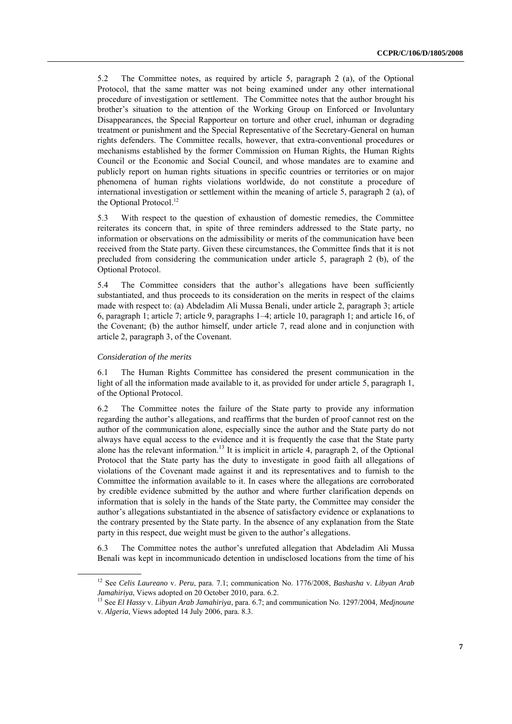5.2 The Committee notes, as required by article 5, paragraph 2 (a), of the Optional Protocol, that the same matter was not being examined under any other international procedure of investigation or settlement. The Committee notes that the author brought his brother's situation to the attention of the Working Group on Enforced or Involuntary Disappearances, the Special Rapporteur on torture and other cruel, inhuman or degrading treatment or punishment and the Special Representative of the Secretary-General on human rights defenders. The Committee recalls, however, that extra-conventional procedures or mechanisms established by the former Commission on Human Rights, the Human Rights Council or the Economic and Social Council, and whose mandates are to examine and publicly report on human rights situations in specific countries or territories or on major phenomena of human rights violations worldwide, do not constitute a procedure of international investigation or settlement within the meaning of article 5, paragraph 2 (a), of the Optional Protocol. 12

5.3 With respect to the question of exhaustion of domestic remedies, the Committee reiterates its concern that, in spite of three reminders addressed to the State party, no information or observations on the admissibility or merits of the communication have been received from the State party. Given these circumstances, the Committee finds that it is not precluded from considering the communication under article 5, paragraph 2 (b), of the Optional Protocol.

5.4 The Committee considers that the author's allegations have been sufficiently substantiated, and thus proceeds to its consideration on the merits in respect of the claims made with respect to: (a) Abdeladim Ali Mussa Benali, under article 2, paragraph 3; article 6, paragraph 1; article 7; article 9, paragraphs 1–4; article 10, paragraph 1; and article 16, of the Covenant; (b) the author himself, under article 7, read alone and in conjunction with article 2, paragraph 3, of the Covenant.

#### *Consideration of the merits*

6.1 The Human Rights Committee has considered the present communication in the light of all the information made available to it, as provided for under article 5, paragraph 1, of the Optional Protocol.

6.2 The Committee notes the failure of the State party to provide any information regarding the author's allegations, and reaffirms that the burden of proof cannot rest on the author of the communication alone, especially since the author and the State party do not always have equal access to the evidence and it is frequently the case that the State party alone has the relevant information.<sup>13</sup> It is implicit in article 4, paragraph 2, of the Optional Protocol that the State party has the duty to investigate in good faith all allegations of violations of the Covenant made against it and its representatives and to furnish to the Committee the information available to it. In cases where the allegations are corroborated by credible evidence submitted by the author and where further clarification depends on information that is solely in the hands of the State party, the Committee may consider the author's allegations substantiated in the absence of satisfactory evidence or explanations to the contrary presented by the State party. In the absence of any explanation from the State party in this respect, due weight must be given to the author's allegations.

6.3 The Committee notes the author's unrefuted allegation that Abdeladim Ali Mussa Benali was kept in incommunicado detention in undisclosed locations from the time of his

<sup>12</sup> See *Celis Laureano* v. *Peru*, para. 7.1; communication No. 1776/2008, *Bashasha* v. *Libyan Arab Jamahiriya*, Views adopted on 20 October 2010, para. 6.2.

<sup>13</sup> See *El Hassy* v. *Libyan Arab Jamahiriya*, para. 6.7; and communication No. 1297/2004, *Medjnoune*  v. *Algeria*, Views adopted 14 July 2006, para. 8.3.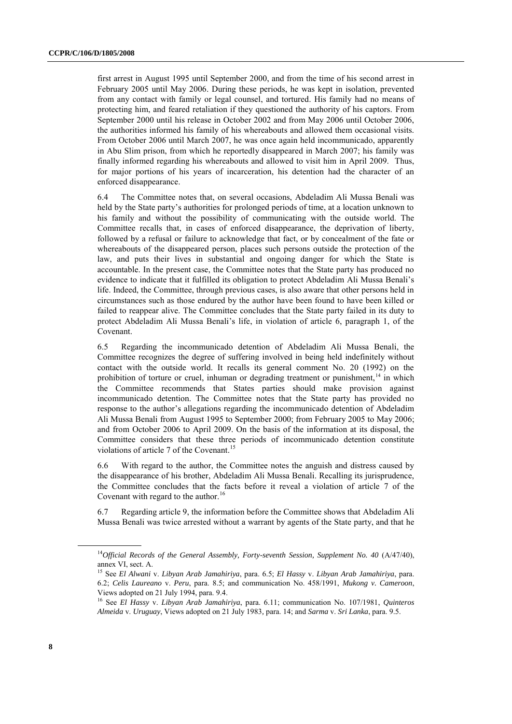first arrest in August 1995 until September 2000, and from the time of his second arrest in February 2005 until May 2006. During these periods, he was kept in isolation, prevented from any contact with family or legal counsel, and tortured. His family had no means of protecting him, and feared retaliation if they questioned the authority of his captors. From September 2000 until his release in October 2002 and from May 2006 until October 2006, the authorities informed his family of his whereabouts and allowed them occasional visits. From October 2006 until March 2007, he was once again held incommunicado, apparently in Abu Slim prison, from which he reportedly disappeared in March 2007; his family was finally informed regarding his whereabouts and allowed to visit him in April 2009. Thus, for major portions of his years of incarceration, his detention had the character of an enforced disappearance.

6.4 The Committee notes that, on several occasions, Abdeladim Ali Mussa Benali was held by the State party's authorities for prolonged periods of time, at a location unknown to his family and without the possibility of communicating with the outside world. The Committee recalls that, in cases of enforced disappearance, the deprivation of liberty, followed by a refusal or failure to acknowledge that fact, or by concealment of the fate or whereabouts of the disappeared person, places such persons outside the protection of the law, and puts their lives in substantial and ongoing danger for which the State is accountable. In the present case, the Committee notes that the State party has produced no evidence to indicate that it fulfilled its obligation to protect Abdeladim Ali Mussa Benali's life. Indeed, the Committee, through previous cases, is also aware that other persons held in circumstances such as those endured by the author have been found to have been killed or failed to reappear alive. The Committee concludes that the State party failed in its duty to protect Abdeladim Ali Mussa Benali's life, in violation of article 6, paragraph 1, of the Covenant.

6.5 Regarding the incommunicado detention of Abdeladim Ali Mussa Benali, the Committee recognizes the degree of suffering involved in being held indefinitely without contact with the outside world. It recalls its general comment No. 20 (1992) on the prohibition of torture or cruel, inhuman or degrading treatment or punishment, $14$  in which the Committee recommends that States parties should make provision against incommunicado detention. The Committee notes that the State party has provided no response to the author's allegations regarding the incommunicado detention of Abdeladim Ali Mussa Benali from August 1995 to September 2000; from February 2005 to May 2006; and from October 2006 to April 2009. On the basis of the information at its disposal, the Committee considers that these three periods of incommunicado detention constitute violations of article 7 of the Covenant. 15

6.6 With regard to the author, the Committee notes the anguish and distress caused by the disappearance of his brother, Abdeladim Ali Mussa Benali. Recalling its jurisprudence, the Committee concludes that the facts before it reveal a violation of article 7 of the Covenant with regard to the author.<sup>16</sup>

6.7 Regarding article 9, the information before the Committee shows that Abdeladim Ali Mussa Benali was twice arrested without a warrant by agents of the State party, and that he

<sup>&</sup>lt;sup>14</sup>Official Records of the General Assembly, Forty-seventh Session, Supplement No. 40 (A/47/40), annex VI, sect. A.

<sup>15</sup> See *El Alwani* v. *Libyan Arab Jamahiriya*, para. 6.5; *El Hassy* v. *Libyan Arab Jamahiriya*, para. 6.2; *Celis Laureano* v. *Peru*, para. 8.5; and communication No. 458/1991, *Mukong v. Cameroon*, Views adopted on 21 July 1994, para. 9.4.

<sup>16</sup> See *El Hassy* v. *Libyan Arab Jamahiriya*, para. 6.11; communication No. 107/1981, *Quinteros Almeida* v. *Uruguay*, Views adopted on 21 July 1983*,* para. 14; and *Sarma* v. *Sri Lanka*, para. 9.5.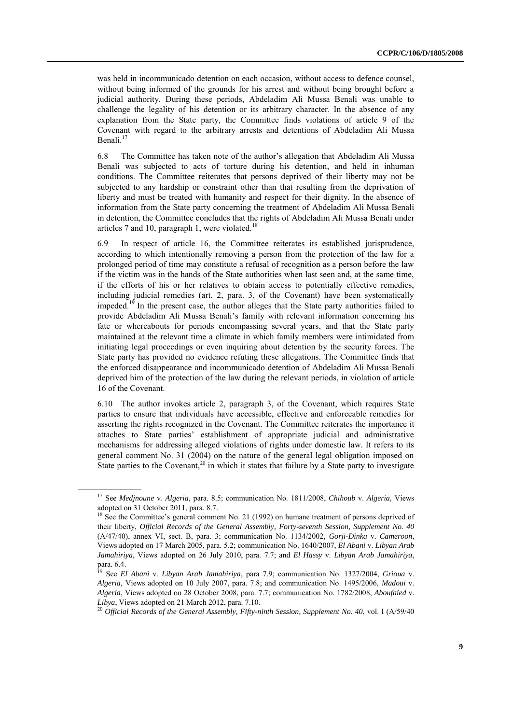was held in incommunicado detention on each occasion, without access to defence counsel, without being informed of the grounds for his arrest and without being brought before a judicial authority. During these periods, Abdeladim Ali Mussa Benali was unable to challenge the legality of his detention or its arbitrary character. In the absence of any explanation from the State party, the Committee finds violations of article 9 of the Covenant with regard to the arbitrary arrests and detentions of Abdeladim Ali Mussa Benali.<sup>17</sup>

6.8 The Committee has taken note of the author's allegation that Abdeladim Ali Mussa Benali was subjected to acts of torture during his detention, and held in inhuman conditions. The Committee reiterates that persons deprived of their liberty may not be subjected to any hardship or constraint other than that resulting from the deprivation of liberty and must be treated with humanity and respect for their dignity. In the absence of information from the State party concerning the treatment of Abdeladim Ali Mussa Benali in detention, the Committee concludes that the rights of Abdeladim Ali Mussa Benali under articles 7 and 10, paragraph 1, were violated.<sup>18</sup>

6.9 In respect of article 16, the Committee reiterates its established jurisprudence, according to which intentionally removing a person from the protection of the law for a prolonged period of time may constitute a refusal of recognition as a person before the law if the victim was in the hands of the State authorities when last seen and, at the same time, if the efforts of his or her relatives to obtain access to potentially effective remedies, including judicial remedies (art. 2, para. 3, of the Covenant) have been systematically impeded.<sup>19</sup> In the present case, the author alleges that the State party authorities failed to provide Abdeladim Ali Mussa Benali's family with relevant information concerning his fate or whereabouts for periods encompassing several years, and that the State party maintained at the relevant time a climate in which family members were intimidated from initiating legal proceedings or even inquiring about detention by the security forces. The State party has provided no evidence refuting these allegations. The Committee finds that the enforced disappearance and incommunicado detention of Abdeladim Ali Mussa Benali deprived him of the protection of the law during the relevant periods, in violation of article 16 of the Covenant.

6.10 The author invokes article 2, paragraph 3, of the Covenant, which requires State parties to ensure that individuals have accessible, effective and enforceable remedies for asserting the rights recognized in the Covenant. The Committee reiterates the importance it attaches to State parties' establishment of appropriate judicial and administrative mechanisms for addressing alleged violations of rights under domestic law. It refers to its general comment No. 31 (2004) on the nature of the general legal obligation imposed on State parties to the Covenant,<sup>20</sup> in which it states that failure by a State party to investigate

<sup>17</sup> See *Medjnoune* v. *Algeria*, para. 8.5; communication No. 1811/2008, *Chihoub* v. *Algeria,* Views adopted on 31 October 2011, para. 8.7.

<sup>&</sup>lt;sup>18</sup> See the Committee's general comment No. 21 (1992) on humane treatment of persons deprived of their liberty, *Official Records of the General Assembly, Forty-seventh Session, Supplement No. 40* (A/47/40), annex VI, sect. B, para. 3; communication No. 1134/2002, *Gorji-Dinka* v. *Cameroon*, Views adopted on 17 March 2005, para. 5.2; communication No. 1640/2007, *El Abani* v. *Libyan Arab Jamahiriya*, Views adopted on 26 July 2010, para. 7.7; and *El Hassy* v. *Libyan Arab Jamahiriya*, para. 6.4.

<sup>19</sup> See *El Abani* v. *Libyan Arab Jamahiriya*, para 7.9; communication No. 1327/2004, *Grioua* v. *Algeria*, Views adopted on 10 July 2007, para. 7.8; and communication No. 1495/2006, *Madoui* v. *Algeria*, Views adopted on 28 October 2008, para. 7.7; communication No. 1782/2008, *Aboufaied* v. *Libya*, Views adopted on 21 March 2012, para. 7.10.

<sup>&</sup>lt;sup>20</sup> Official Records of the General Assembly, Fifty-ninth Session, Supplement No. 40, vol. I (A/59/40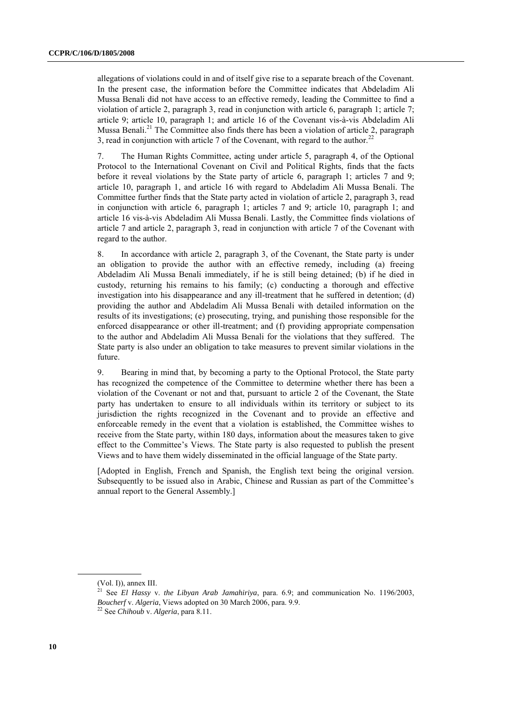allegations of violations could in and of itself give rise to a separate breach of the Covenant. In the present case, the information before the Committee indicates that Abdeladim Ali Mussa Benali did not have access to an effective remedy, leading the Committee to find a violation of article 2, paragraph 3, read in conjunction with article 6, paragraph 1; article 7; article 9; article 10, paragraph 1; and article 16 of the Covenant vis-à-vis Abdeladim Ali Mussa Benali.<sup>21</sup> The Committee also finds there has been a violation of article 2, paragraph 3, read in conjunction with article 7 of the Covenant, with regard to the author. $^{22}$ 

7. The Human Rights Committee, acting under article 5, paragraph 4, of the Optional Protocol to the International Covenant on Civil and Political Rights, finds that the facts before it reveal violations by the State party of article 6, paragraph 1; articles 7 and 9; article 10, paragraph 1, and article 16 with regard to Abdeladim Ali Mussa Benali. The Committee further finds that the State party acted in violation of article 2, paragraph 3, read in conjunction with article 6, paragraph 1; articles 7 and 9; article 10, paragraph 1; and article 16 vis-à-vis Abdeladim Ali Mussa Benali. Lastly, the Committee finds violations of article 7 and article 2, paragraph 3, read in conjunction with article 7 of the Covenant with regard to the author.

8. In accordance with article 2, paragraph 3, of the Covenant, the State party is under an obligation to provide the author with an effective remedy, including (a) freeing Abdeladim Ali Mussa Benali immediately, if he is still being detained; (b) if he died in custody, returning his remains to his family; (c) conducting a thorough and effective investigation into his disappearance and any ill-treatment that he suffered in detention; (d) providing the author and Abdeladim Ali Mussa Benali with detailed information on the results of its investigations; (e) prosecuting, trying, and punishing those responsible for the enforced disappearance or other ill-treatment; and (f) providing appropriate compensation to the author and Abdeladim Ali Mussa Benali for the violations that they suffered. The State party is also under an obligation to take measures to prevent similar violations in the future.

9. Bearing in mind that, by becoming a party to the Optional Protocol, the State party has recognized the competence of the Committee to determine whether there has been a violation of the Covenant or not and that, pursuant to article 2 of the Covenant, the State party has undertaken to ensure to all individuals within its territory or subject to its jurisdiction the rights recognized in the Covenant and to provide an effective and enforceable remedy in the event that a violation is established, the Committee wishes to receive from the State party, within 180 days, information about the measures taken to give effect to the Committee's Views. The State party is also requested to publish the present Views and to have them widely disseminated in the official language of the State party.

[Adopted in English, French and Spanish, the English text being the original version. Subsequently to be issued also in Arabic, Chinese and Russian as part of the Committee's annual report to the General Assembly.]

<sup>(</sup>Vol. I)), annex III.

<sup>21</sup> See *El Hassy* v. *the Libyan Arab Jamahiriya*, para. 6.9; and communication No. 1196/2003, *Boucherf* v. *Algeria*, Views adopted on 30 March 2006, para. 9.9.

<sup>22</sup> See *Chihoub* v. *Algeria*, para 8.11.